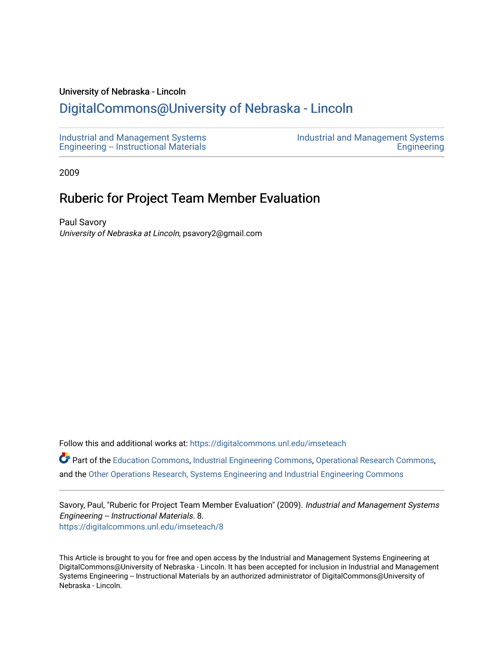## University of Nebraska - Lincoln

## [DigitalCommons@University of Nebraska - Lincoln](https://digitalcommons.unl.edu/)

[Industrial and Management Systems](https://digitalcommons.unl.edu/imseteach)  [Engineering -- Instructional Materials](https://digitalcommons.unl.edu/imseteach)  [Industrial and Management Systems](https://digitalcommons.unl.edu/imse)  **Engineering** 

2009

## Ruberic for Project Team Member Evaluation

Paul Savory University of Nebraska at Lincoln, psavory2@gmail.com

Follow this and additional works at: [https://digitalcommons.unl.edu/imseteach](https://digitalcommons.unl.edu/imseteach?utm_source=digitalcommons.unl.edu%2Fimseteach%2F8&utm_medium=PDF&utm_campaign=PDFCoverPages) 

Part of the [Education Commons](http://network.bepress.com/hgg/discipline/784?utm_source=digitalcommons.unl.edu%2Fimseteach%2F8&utm_medium=PDF&utm_campaign=PDFCoverPages), [Industrial Engineering Commons](http://network.bepress.com/hgg/discipline/307?utm_source=digitalcommons.unl.edu%2Fimseteach%2F8&utm_medium=PDF&utm_campaign=PDFCoverPages), [Operational Research Commons,](http://network.bepress.com/hgg/discipline/308?utm_source=digitalcommons.unl.edu%2Fimseteach%2F8&utm_medium=PDF&utm_campaign=PDFCoverPages) and the [Other Operations Research, Systems Engineering and Industrial Engineering Commons](http://network.bepress.com/hgg/discipline/310?utm_source=digitalcommons.unl.edu%2Fimseteach%2F8&utm_medium=PDF&utm_campaign=PDFCoverPages) 

Savory, Paul, "Ruberic for Project Team Member Evaluation" (2009). Industrial and Management Systems Engineering -- Instructional Materials. 8. [https://digitalcommons.unl.edu/imseteach/8](https://digitalcommons.unl.edu/imseteach/8?utm_source=digitalcommons.unl.edu%2Fimseteach%2F8&utm_medium=PDF&utm_campaign=PDFCoverPages) 

This Article is brought to you for free and open access by the Industrial and Management Systems Engineering at DigitalCommons@University of Nebraska - Lincoln. It has been accepted for inclusion in Industrial and Management Systems Engineering -- Instructional Materials by an authorized administrator of DigitalCommons@University of Nebraska - Lincoln.